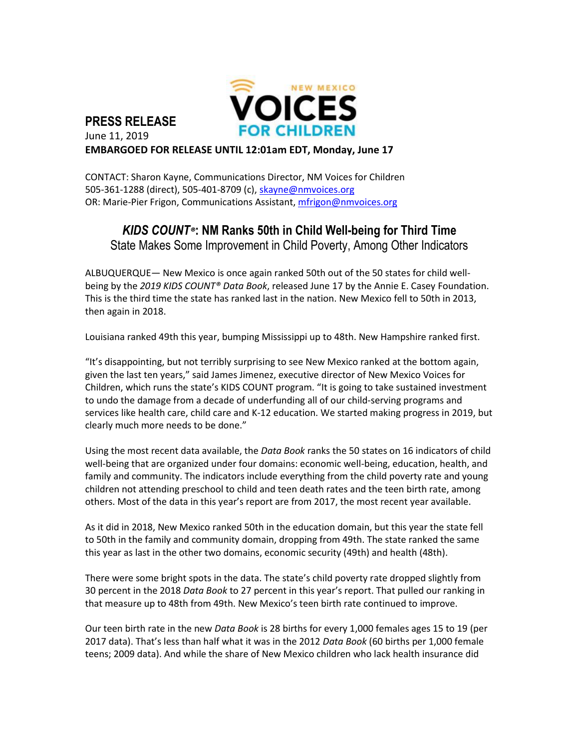

## **PRESS RELEASE** June 11, 2019 **EMBARGOED FOR RELEASE UNTIL 12:01am EDT, Monday, June 17**

CONTACT: Sharon Kayne, Communications Director, NM Voices for Children 505-361-1288 (direct), 505-401-8709 (c), [skayne@nmvoices.org](mailto:skayne@nmvoices.org) OR: Marie-Pier Frigon, Communications Assistant, mfrigon@nmvoices.org

## *KIDS COUNT®***: NM Ranks 50th in Child Well-being for Third Time**

State Makes Some Improvement in Child Poverty, Among Other Indicators

ALBUQUERQUE— New Mexico is once again ranked 50th out of the 50 states for child wellbeing by the *2019 KIDS COUNT® Data Book*, released June 17 by the Annie E. Casey Foundation. This is the third time the state has ranked last in the nation. New Mexico fell to 50th in 2013, then again in 2018.

Louisiana ranked 49th this year, bumping Mississippi up to 48th. New Hampshire ranked first.

"It's disappointing, but not terribly surprising to see New Mexico ranked at the bottom again, given the last ten years," said James Jimenez, executive director of New Mexico Voices for Children, which runs the state's KIDS COUNT program. "It is going to take sustained investment to undo the damage from a decade of underfunding all of our child-serving programs and services like health care, child care and K-12 education. We started making progress in 2019, but clearly much more needs to be done."

Using the most recent data available, the *Data Book* ranks the 50 states on 16 indicators of child well-being that are organized under four domains: economic well-being, education, health, and family and community. The indicators include everything from the child poverty rate and young children not attending preschool to child and teen death rates and the teen birth rate, among others. Most of the data in this year's report are from 2017, the most recent year available.

As it did in 2018, New Mexico ranked 50th in the education domain, but this year the state fell to 50th in the family and community domain, dropping from 49th. The state ranked the same this year as last in the other two domains, economic security (49th) and health (48th).

There were some bright spots in the data. The state's child poverty rate dropped slightly from 30 percent in the 2018 *Data Book* to 27 percent in this year's report. That pulled our ranking in that measure up to 48th from 49th. New Mexico's teen birth rate continued to improve.

Our teen birth rate in the new *Data Book* is 28 births for every 1,000 females ages 15 to 19 (per 2017 data). That's less than half what it was in the 2012 *Data Book* (60 births per 1,000 female teens; 2009 data). And while the share of New Mexico children who lack health insurance did